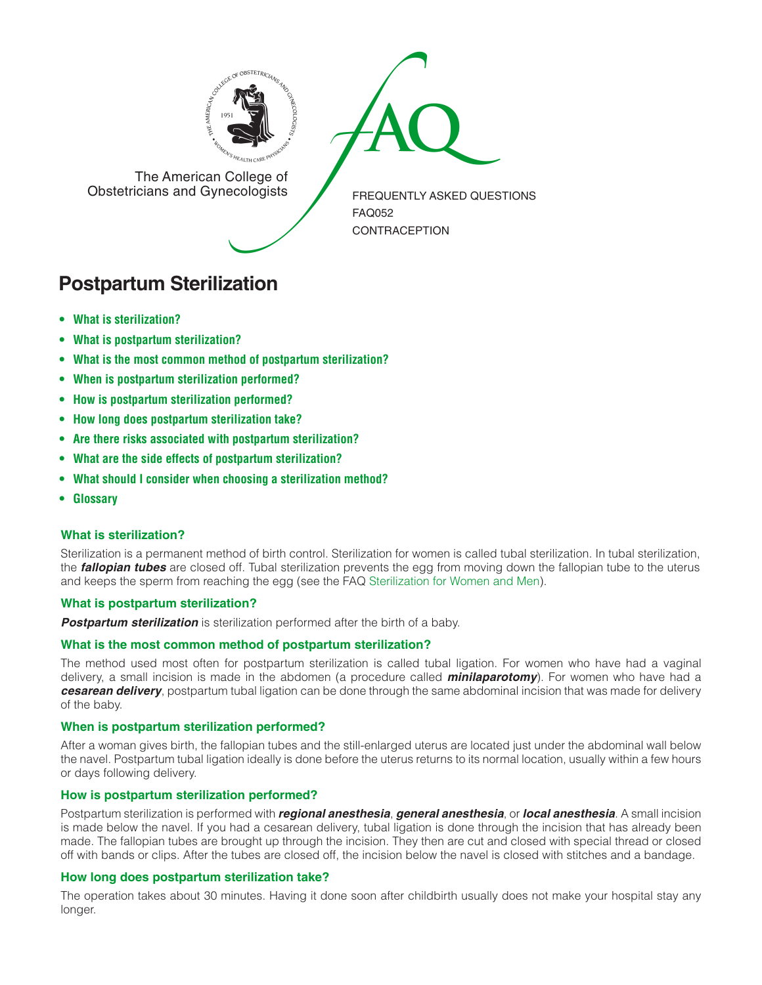



The American College of<br>Obstetricians and Gynecologists

FREQUENTLY ASKED QUESTIONS FAQ052 CONTRACEPTION

# **Postpartum Sterilization**

- **• What is [sterilization?](#page-0-0)**
- **• What is postpartum [sterilization?](#page-0-1)**
- **• What is the most common method of postpartum [sterilization?](#page-0-2)**
- **• When is postpartum [sterilization](#page-0-3) performed?**
- **• How is postpartum [sterilization](#page-0-4) performed?**
- **• How long does postpartum [sterilization](#page-0-5) take?**
- **• Are there risks associated with postpartum [sterilization?](#page-1-0)**
- **• What are the side effects of postpartum [sterilization?](#page-1-1)**
- **• What should I consider when choosing a [sterilization](#page-1-2) method?**
- **[• Glossary](#page-1-3)**

# <span id="page-0-0"></span>**What is sterilization?**

Sterilization is a permanent method of birth control. Sterilization for women is called tubal sterilization. In tubal sterilization, the *fallopian tubes* are closed off. Tubal sterilization prevents the egg from moving down the fallopian tube to the uterus and keeps the sperm from reaching the egg (see the FAQ [Sterilization for Women and Men\)](http://www.acog.org/publications/faq/faq011.cfm).

# <span id="page-0-1"></span>**What is postpartum sterilization?**

*Postpartum sterilization* is sterilization performed after the birth of a baby.

# <span id="page-0-2"></span>**What is the most common method of postpartum sterilization?**

The method used most often for postpartum sterilization is called tubal ligation. For women who have had a vaginal delivery, a small incision is made in the abdomen (a procedure called *minilaparotomy*). For women who have had a *cesarean delivery*, postpartum tubal ligation can be done through the same abdominal incision that was made for delivery of the baby.

# <span id="page-0-3"></span>**When is postpartum sterilization performed?**

After a woman gives birth, the fallopian tubes and the still-enlarged uterus are located just under the abdominal wall below the navel. Postpartum tubal ligation ideally is done before the uterus returns to its normal location, usually within a few hours or days following delivery.

# <span id="page-0-4"></span>**How is postpartum sterilization performed?**

Postpartum sterilization is performed with *regional anesthesia*, *general anesthesia*, or *local anesthesia*. A small incision is made below the navel. If you had a cesarean delivery, tubal ligation is done through the incision that has already been made. The fallopian tubes are brought up through the incision. They then are cut and closed with special thread or closed off with bands or clips. After the tubes are closed off, the incision below the navel is closed with stitches and a bandage.

# <span id="page-0-5"></span>**How long does postpartum sterilization take?**

The operation takes about 30 minutes. Having it done soon after childbirth usually does not make your hospital stay any longer.